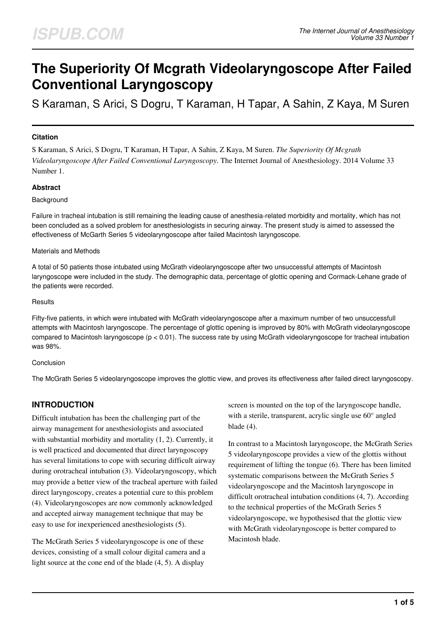# **The Superiority Of Mcgrath Videolaryngoscope After Failed Conventional Laryngoscopy**

S Karaman, S Arici, S Dogru, T Karaman, H Tapar, A Sahin, Z Kaya, M Suren

# **Citation**

S Karaman, S Arici, S Dogru, T Karaman, H Tapar, A Sahin, Z Kaya, M Suren. *The Superiority Of Mcgrath Videolaryngoscope After Failed Conventional Laryngoscopy*. The Internet Journal of Anesthesiology. 2014 Volume 33 Number 1.

# **Abstract**

#### **Background**

Failure in tracheal intubation is still remaining the leading cause of anesthesia-related morbidity and mortality, which has not been concluded as a solved problem for anesthesiologists in securing airway. The present study is aimed to assessed the effectiveness of McGarth Series 5 videolaryngoscope after failed Macintosh laryngoscope.

#### Materials and Methods

A total of 50 patients those intubated using McGrath videolaryngoscope after two unsuccessful attempts of Macintosh laryngoscope were included in the study. The demographic data, percentage of glottic opening and Cormack-Lehane grade of the patients were recorded.

#### **Results**

Fifty-five patients, in which were intubated with McGrath videolaryngoscope after a maximum number of two unsuccessfull attempts with Macintosh laryngoscope. The percentage of glottic opening is improved by 80% with McGrath videolaryngoscope compared to Macintosh laryngoscope (p < 0.01). The success rate by using McGrath videolaryngoscope for tracheal intubation was 98%.

# Conclusion

The McGrath Series 5 videolaryngoscope improves the glottic view, and proves its effectiveness after failed direct laryngoscopy.

# **INTRODUCTION**

Difficult intubation has been the challenging part of the airway management for anesthesiologists and associated with substantial morbidity and mortality (1, 2). Currently, it is well practiced and documented that direct laryngoscopy has several limitations to cope with securing difficult airway during orotracheal intubation (3). Videolaryngoscopy, which may provide a better view of the tracheal aperture with failed direct laryngoscopy, creates a potential cure to this problem (4). Videolaryngoscopes are now commonly acknowledged and accepted airway management technique that may be easy to use for inexperienced anesthesiologists (5).

The McGrath Series 5 videolaryngoscope is one of these devices, consisting of a small colour digital camera and a light source at the cone end of the blade (4, 5). A display

screen is mounted on the top of the laryngoscope handle, with a sterile, transparent, acrylic single use 60° angled blade (4).

In contrast to a Macintosh laryngoscope, the McGrath Series 5 videolaryngoscope provides a view of the glottis without requirement of lifting the tongue (6). There has been limited systematic comparisons between the McGrath Series 5 videolaryngoscope and the Macintosh laryngoscope in difficult orotracheal intubation conditions (4, 7). According to the technical properties of the McGrath Series 5 videolaryngoscope, we hypothesised that the glottic view with McGrath videolaryngoscope is better compared to Macintosh blade.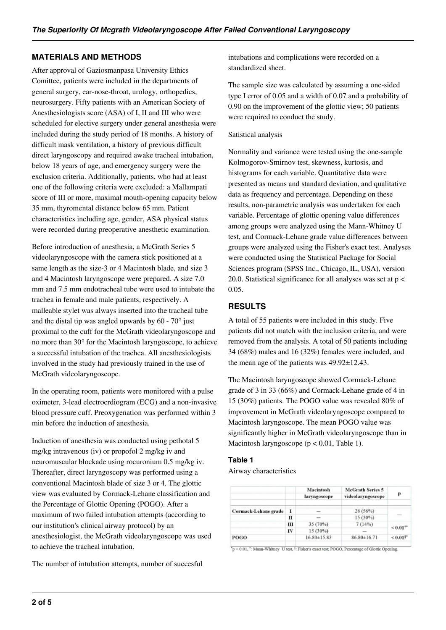# **MATERIALS AND METHODS**

After approval of Gaziosmanpasa University Ethics Comittee, patients were included in the departments of general surgery, ear-nose-throat, urology, orthopedics, neurosurgery. Fifty patients with an American Society of Anesthesiologists score (ASA) of I, II and III who were scheduled for elective surgery under general anesthesia were included during the study period of 18 months. A history of difficult mask ventilation, a history of previous difficult direct laryngoscopy and required awake tracheal intubation, below 18 years of age, and emergency surgery were the exclusion criteria. Additionally, patients, who had at least one of the following criteria were excluded: a Mallampati score of III or more, maximal mouth-opening capacity below 35 mm, thyromental distance below 65 mm. Patient characteristics including age, gender, ASA physical status were recorded during preoperative anesthetic examination.

Before introduction of anesthesia, a McGrath Series 5 videolaryngoscope with the camera stick positioned at a same length as the size-3 or 4 Macintosh blade, and size 3 and 4 Macintosh laryngoscope were prepared. A size 7.0 mm and 7.5 mm endotracheal tube were used to intubate the trachea in female and male patients, respectively. A malleable stylet was always inserted into the tracheal tube and the distal tip was angled upwards by  $60 - 70^{\circ}$  just proximal to the cuff for the McGrath videolaryngoscope and no more than 30° for the Macintosh laryngoscope, to achieve a successful intubation of the trachea. All anesthesiologists involved in the study had previously trained in the use of McGrath videolaryngoscope.

In the operating room, patients were monitored with a pulse oximeter, 3-lead electrocrdiogram (ECG) and a non-invasive blood pressure cuff. Preoxygenation was performed within 3 min before the induction of anesthesia.

Induction of anesthesia was conducted using pethotal 5 mg/kg intravenous (iv) or propofol 2 mg/kg iv and neuromuscular blockade using rocuronium 0.5 mg/kg iv. Thereafter, direct laryngoscopy was performed using a conventional Macintosh blade of size 3 or 4. The glottic view was evaluated by Cormack-Lehane classification and the Percentage of Glottic Opening (POGO). After a maximum of two failed intubation attempts (according to our institution's clinical airway protocol) by an anesthesiologist, the McGrath videolaryngoscope was used to achieve the tracheal intubation.

The number of intubation attempts, number of succesful

intubations and complications were recorded on a standardized sheet.

The sample size was calculated by assuming a one-sided type I error of 0.05 and a width of 0.07 and a probability of 0.90 on the improvement of the glottic view; 50 patients were required to conduct the study.

## Satistical analysis

Normality and variance were tested using the one-sample Kolmogorov-Smirnov test, skewness, kurtosis, and histograms for each variable. Quantitative data were presented as means and standard deviation, and qualitative data as frequency and percentage. Depending on these results, non-parametric analysis was undertaken for each variable. Percentage of glottic opening value differences among groups were analyzed using the Mann-Whitney U test, and Cormack-Lehane grade value differences between groups were analyzed using the Fisher's exact test. Analyses were conducted using the Statistical Package for Social Sciences program (SPSS Inc., Chicago, IL, USA), version 20.0. Statistical significance for all analyses was set at p < 0.05.

# **RESULTS**

A total of 55 patients were included in this study. Five patients did not match with the inclusion criteria, and were removed from the analysis. A total of 50 patients including 34 (68%) males and 16 (32%) females were included, and the mean age of the patients was 49.92±12.43.

The Macintosh laryngoscope showed Cormack-Lehane grade of 3 in 33 (66%) and Cormack-Lehane grade of 4 in 15 (30%) patients. The POGO value was revealed 80% of improvement in McGrath videolaryngoscope compared to Macintosh laryngoscope. The mean POGO value was significantly higher in McGrath videolaryngoscope than in Macintosh laryngoscope (p < 0.01, Table 1).

# **Table 1**

Airway characteristics

|                      |    | <b>Macintosh</b><br>laryngoscope | <b>McGrath Series 5</b><br>videolaryngoscope | р                        |
|----------------------|----|----------------------------------|----------------------------------------------|--------------------------|
|                      |    |                                  |                                              |                          |
| Cormack-Lehane grade |    |                                  | 28 (56%)                                     |                          |
|                      | п  | -                                | 15 (30%)                                     |                          |
|                      | ш  | 35 (70%)                         | 7(14%)                                       | $< 0.01$ <sup>**</sup>   |
|                      | IV | $15(30\%)$                       |                                              |                          |
| POGO                 |    | $16.80 \pm 15.83$                | $86.80\pm16.71$                              | ${}< 0.01$ <sup>§*</sup> |

 $\tau_p$  < 0.01,  $\tau$ : Mann-Whitney U test, <sup>§</sup>: Fisher's exact test; POGO, Percentage of Glottic Opening.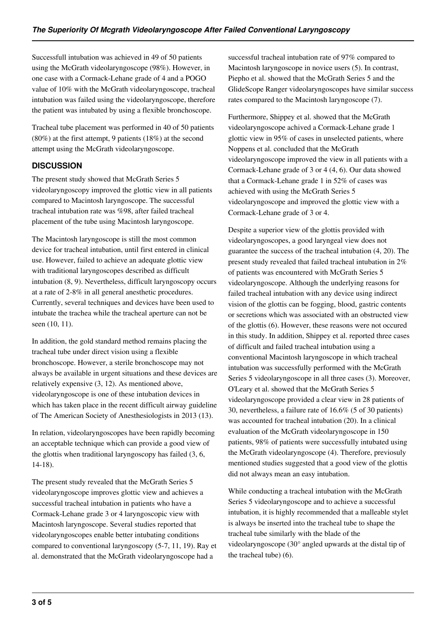Successfull intubation was achieved in 49 of 50 patients using the McGrath videolaryngoscope (98%). However, in one case with a Cormack-Lehane grade of 4 and a POGO value of 10% with the McGrath videolaryngoscope, tracheal intubation was failed using the videolaryngoscope, therefore the patient was intubated by using a flexible bronchoscope.

Tracheal tube placement was performed in 40 of 50 patients (80%) at the first attempt, 9 patients (18%) at the second attempt using the McGrath videolaryngoscope.

# **DISCUSSION**

The present study showed that McGrath Series 5 videolaryngoscopy improved the glottic view in all patients compared to Macintosh laryngoscope. The successful tracheal intubation rate was %98, after failed tracheal placement of the tube using Macintosh laryngoscope.

The Macintosh laryngoscope is still the most common device for tracheal intubation, until first entered in clinical use. However, failed to achieve an adequate glottic view with traditional laryngoscopes described as difficult intubation (8, 9). Nevertheless, difficult laryngoscopy occurs at a rate of 2-8% in all general anesthetic procedures. Currently, several techniques and devices have been used to intubate the trachea while the tracheal aperture can not be seen (10, 11).

In addition, the gold standard method remains placing the tracheal tube under direct vision using a flexible bronchoscope. However, a sterile bronchoscope may not always be available in urgent situations and these devices are relatively expensive (3, 12). As mentioned above, videolaryngoscope is one of these intubation devices in which has taken place in the recent difficult airway guideline of The American Society of Anesthesiologists in 2013 (13).

In relation, videolaryngoscopes have been rapidly becoming an acceptable technique which can provide a good view of the glottis when traditional laryngoscopy has failed (3, 6, 14-18).

The present study revealed that the McGrath Series 5 videolaryngoscope improves glottic view and achieves a successful tracheal intubation in patients who have a Cormack-Lehane grade 3 or 4 laryngoscopic view with Macintosh laryngoscope. Several studies reported that videolaryngoscopes enable better intubating conditions compared to conventional laryngoscopy (5-7, 11, 19). Ray et al. demonstrated that the McGrath videolaryngoscope had a

successful tracheal intubation rate of 97% compared to Macintosh laryngoscope in novice users (5). In contrast, Piepho et al. showed that the McGrath Series 5 and the GlideScope Ranger videolaryngoscopes have similar success rates compared to the Macintosh laryngoscope (7).

Furthermore, Shippey et al. showed that the McGrath videolaryngoscope achived a Cormack-Lehane grade 1 glottic view in 95% of cases in unselected patients, where Noppens et al. concluded that the McGrath videolaryngoscope improved the view in all patients with a Cormack-Lehane grade of 3 or 4 (4, 6). Our data showed that a Cormack-Lehane grade 1 in 52% of cases was achieved with using the McGrath Series 5 videolaryngoscope and improved the glottic view with a Cormack-Lehane grade of 3 or 4.

Despite a superior view of the glottis provided with videolaryngoscopes, a good laryngeal view does not guarantee the success of the tracheal intubation (4, 20). The present study revealed that failed tracheal intubation in 2% of patients was encountered with McGrath Series 5 videolaryngoscope. Although the underlying reasons for failed tracheal intubation with any device using indirect vision of the glottis can be fogging, blood, gastric contents or secretions which was associated with an obstructed view of the glottis (6). However, these reasons were not occured in this study. In addition, Shippey et al. reported three cases of difficult and failed tracheal intubation using a conventional Macintosh laryngoscope in which tracheal intubation was successfully performed with the McGrath Series 5 videolaryngoscope in all three cases (3). Moreover, O'Leary et al. showed that the McGrath Series 5 videolaryngoscope provided a clear view in 28 patients of 30, nevertheless, a failure rate of 16.6% (5 of 30 patients) was accounted for tracheal intubation (20). In a clinical evaluation of the McGrath videolaryngoscope in 150 patients, 98% of patients were successfully intubated using the McGrath videolaryngoscope (4). Therefore, previosuly mentioned studies suggested that a good view of the glottis did not always mean an easy intubation.

While conducting a tracheal intubation with the McGrath Series 5 videolaryngoscope and to achieve a successful intubation, it is highly recommended that a malleable stylet is always be inserted into the tracheal tube to shape the tracheal tube similarly with the blade of the videolaryngoscope (30° angled upwards at the distal tip of the tracheal tube) (6).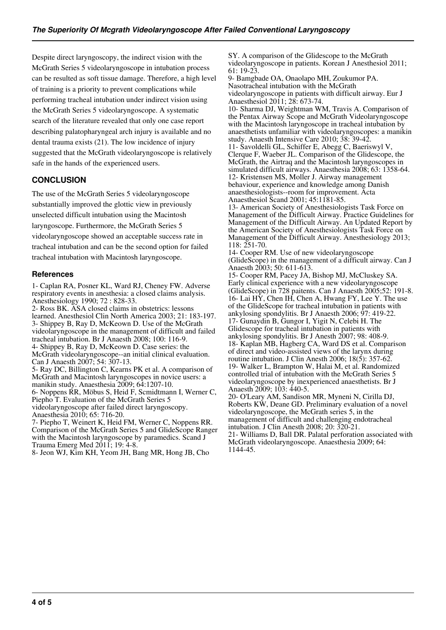Despite direct laryngoscopy, the indirect vision with the McGrath Series 5 videolaryngoscope in intubation process can be resulted as soft tissue damage. Therefore, a high level of training is a priority to prevent complications while performing tracheal intubation under indirect vision using the McGrath Series 5 videolaryngoscope. A systematic search of the literature revealed that only one case report describing palatopharyngeal arch injury is available and no dental trauma exists (21). The low incidence of injury suggested that the McGrath videolaryngoscope is relatively safe in the hands of the experienced users.

# **CONCLUSION**

The use of the McGrath Series 5 videolaryngoscope substantially improved the glottic view in previously unselected difficult intubation using the Macintosh laryngoscope. Furthermore, the McGrath Series 5 videolaryngoscope showed an acceptable success rate in tracheal intubation and can be the second option for failed tracheal intubation with Macintosh laryngoscope.

# **References**

1- Caplan RA, Posner KL, Ward RJ, Cheney FW. Adverse respiratory events in anesthesia: a closed claims analysis. Anesthesiology 1990; 72 : 828-33.

2- Ross BK. ASA closed claims in obstetrics: lessons learned. Anesthesiol Clin North America 2003; 21: 183-197. 3- Shippey B, Ray D, McKeown D. Use of the McGrath videolaryngoscope in the management of difficult and failed tracheal intubation. Br J Anaesth 2008; 100: 116-9. 4- Shippey B, Ray D, McKeown D. Case series: the McGrath videolaryngoscope--an initial clinical evaluation. Can J Anaesth 2007; 54: 307-13. 5- Ray DC, Billington C, Kearns PK et al. A comparison of McGrath and Macintosh laryngoscopes in novice users: a manikin study. Anaesthesia 2009; 64:1207-10.

6- Noppens RR, Möbus S, Heid F, Scmidtmann I, Werner C, Piepho T. Evaluation of the McGrath Series 5

videolaryngoscope after failed direct laryngoscopy. Anaesthesia 2010; 65: 716-20.

7- Piepho T, Weinert K, Heid FM, Werner C, Noppens RR. Comparison of the McGrath Series 5 and GlideScope Ranger with the Macintosh laryngoscope by paramedics. Scand J Trauma Emerg Med 2011; 19: 4-8.

8- Jeon WJ, Kim KH, Yeom JH, Bang MR, Hong JB, Cho

SY. A comparison of the Glidescope to the McGrath videolaryngoscope in patients. Korean J Anesthesiol 2011; 61: 19-23.

9- Bamgbade OA, Onaolapo MH, Zoukumor PA. Nasotracheal intubation with the McGrath videolaryngoscope in patients with difficult airway. Eur J Anaesthesiol 2011; 28: 673-74. 10- Sharma DJ, Weightman WM, Travis A. Comparison of the Pentax Airway Scope and McGrath Videolaryngoscope with the Macintosh laryngoscope in tracheal intubation by anaesthetists unfamiliar with videolaryngoscopes: a manikin study. Anaesth Intensive Care 2010; 38: 39-42. 11- Savoldelli GL, Schiffer E, Abegg C, Baeriswyl V, Clerque F, Waeber JL. Comparison of the Glidescope, the McGrath, the Airtraq and the Macintosh laryngoscopes in simulated difficult airways. Anaesthesia 2008; 63: 1358-64. 12- Kristensen MS, Moller J. Airway management behaviour, experience and knowledge among Danish anaesthesiologists--room for improvement. Acta Anaesthesiol Scand 2001; 45:1181-85. 13- American Society of Anesthesiologists Task Force on

Management of the Difficult Airway. Practice Guidelines for Management of the Difficult Airway. An Updated Report by the American Society of Anesthesiologists Task Force on Management of the Difficult Airway. Anesthesiology 2013; 118: 251-70.

14- Cooper RM. Use of new videolaryngoscope (GlideScope) in the management of a difficult airway. Can J Anaesth 2003; 50: 611-613.

15- Cooper RM, Pacey JA, Bishop MJ, McCluskey SA. Early clinical experience with a new videolaryngoscope (GlideScope) in 728 paitents. Can J Anaesth 2005;52: 191-8. 16- Lai HY, Chen IH, Chen A, Hwang FY, Lee Y. The use of the GlideScope for tracheal intubation in patients with ankylosing spondylitis. Br J Anaesth 2006; 97: 419-22. 17- Gunaydin B, Gungor I, Yigit N, Celebi H. The Glidescope for tracheal intubation in patients with ankylosing spondylitis. Br J Anesth 2007; 98: 408-9. 18- Kaplan MB, Hagberg CA, Ward DS et al. Comparison of direct and video-assisted views of the larynx during routine intubation. J Clin Anesth 2006;  $18(5)$ : 357-62. 19- Walker L, Brampton W, Halai M, et al. Randomized controlled trial of intubation with the McGrath Series 5 videolaryngoscope by inexperienced anaesthetists. Br J Anaesth 2009; 103: 440-5.

20- O'Leary AM, Sandison MR, Myneni N, Cirilla DJ, Roberts KW, Deane GD. Preliminary evaluation of a novel videolaryngoscope, the McGrath series 5, in the management of difficult and challenging endotracheal intubation. J Clin Anesth 2008; 20: 320-21. 21- Williams D, Ball DR. Palatal perforation associated with McGrath videolaryngoscope. Anaesthesia 2009; 64: 1144-45.